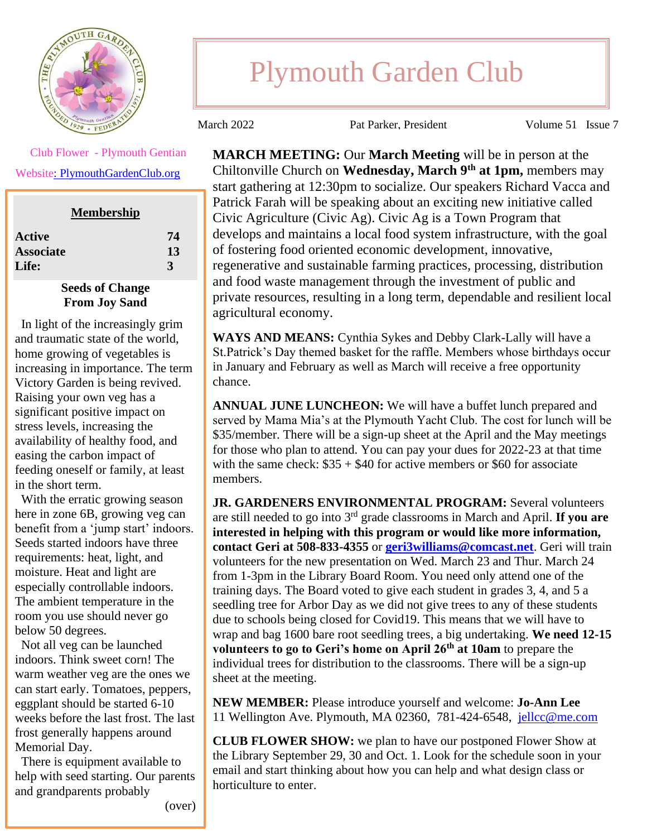

Plymouth Garden Club

March 2022 **Pat Parker, President** Volume 51 Issue 7

 Club Flower - Plymouth Gentian Websit[e: PlymouthGardenClub.org](https://plymouthgardenclub.org/)

| <b>Membership</b> |    |
|-------------------|----|
| Active            | 74 |
| <b>Associate</b>  | 13 |
| <b>Life:</b>      | 3  |

## **Seeds of Change From Joy Sand**

 In light of the increasingly grim and traumatic state of the world, home growing of vegetables is increasing in importance. The term Victory Garden is being revived. Raising your own veg has a significant positive impact on stress levels, increasing the availability of healthy food, and easing the carbon impact of feeding oneself or family, at least in the short term.

 With the erratic growing season here in zone 6B, growing veg can benefit from a 'jump start' indoors. Seeds started indoors have three requirements: heat, light, and moisture. Heat and light are especially controllable indoors. The ambient temperature in the room you use should never go below 50 degrees.

 Not all veg can be launched indoors. Think sweet corn! The warm weather veg are the ones we can start early. Tomatoes, peppers, eggplant should be started 6-10 weeks before the last frost. The last frost generally happens around Memorial Day.

 There is equipment available to help with seed starting. Our parents and grandparents probably

**MARCH MEETING:** Our **March Meeting** will be in person at the Chiltonville Church on **Wednesday, March 9th at 1pm,** members may start gathering at 12:30pm to socialize. Our speakers Richard Vacca and Patrick Farah will be speaking about an exciting new initiative called Civic Agriculture (Civic Ag). Civic Ag is a Town Program that develops and maintains a local food system infrastructure, with the goal of fostering food oriented economic development, innovative, regenerative and sustainable farming practices, processing, distribution and food waste management through the investment of public and private resources, resulting in a long term, dependable and resilient local agricultural economy.

**WAYS AND MEANS:** Cynthia Sykes and Debby Clark-Lally will have a St.Patrick's Day themed basket for the raffle. Members whose birthdays occur in January and February as well as March will receive a free opportunity chance.

**ANNUAL JUNE LUNCHEON:** We will have a buffet lunch prepared and served by Mama Mia's at the Plymouth Yacht Club. The cost for lunch will be \$35/member. There will be a sign-up sheet at the April and the May meetings for those who plan to attend. You can pay your dues for 2022-23 at that time with the same check:  $\$35 + \$40$  for active members or  $\$60$  for associate members.

**JR. GARDENERS ENVIRONMENTAL PROGRAM:** Several volunteers are still needed to go into 3rd grade classrooms in March and April. **If you are interested in helping with this program or would like more information, contact Geri at 508-833-4355** or **[geri3williams@comcast.net](mailto:geri3williams@comcast.net)**. Geri will train volunteers for the new presentation on Wed. March 23 and Thur. March 24 from 1-3pm in the Library Board Room. You need only attend one of the training days. The Board voted to give each student in grades 3, 4, and 5 a seedling tree for Arbor Day as we did not give trees to any of these students due to schools being closed for Covid19. This means that we will have to wrap and bag 1600 bare root seedling trees, a big undertaking. **We need 12-15 volunteers to go to Geri's home on April 26th at 10am** to prepare the individual trees for distribution to the classrooms. There will be a sign-up sheet at the meeting.

**NEW MEMBER:** Please introduce yourself and welcome: **Jo-Ann Lee**  11 Wellington Ave. Plymouth, MA 02360, 781-424-6548, [jellcc@me.com](mailto:jellcc@me.com)

**CLUB FLOWER SHOW:** we plan to have our postponed Flower Show at the Library September 29, 30 and Oct. 1. Look for the schedule soon in your email and start thinking about how you can help and what design class or horticulture to enter.

(over)